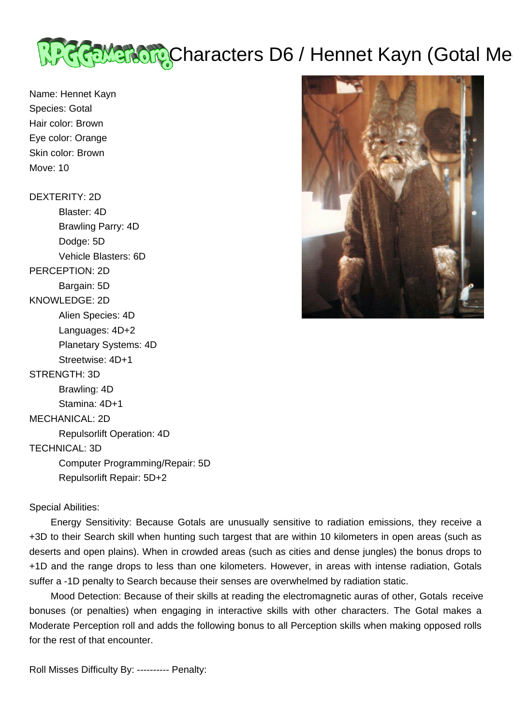

Name: Hennet Kayn Species: Gotal Hair color: Brown Eye color: Orange Skin color: Brown Move: 10

DEXTERITY: 2D Blaster: 4D Brawling Parry: 4D Dodge: 5D Vehicle Blasters: 6D PERCEPTION: 2D Bargain: 5D KNOWLEDGE: 2D Alien Species: 4D Languages: 4D+2 Planetary Systems: 4D Streetwise: 4D+1 STRENGTH: 3D Brawling: 4D Stamina: 4D+1 MECHANICAL: 2D Repulsorlift Operation: 4D TECHNICAL: 3D Computer Programming/Repair: 5D

Repulsorlift Repair: 5D+2



Special Abilities:

 Energy Sensitivity: Because Gotals are unusually sensitive to radiation emissions, they receive a +3D to their Search skill when hunting such targest that are within 10 kilometers in open areas (such as deserts and open plains). When in crowded areas (such as cities and dense jungles) the bonus drops to +1D and the range drops to less than one kilometers. However, in areas with intense radiation, Gotals suffer a -1D penalty to Search because their senses are overwhelmed by radiation static.

 Mood Detection: Because of their skills at reading the electromagnetic auras of other, Gotals receive bonuses (or penalties) when engaging in interactive skills with other characters. The Gotal makes a Moderate Perception roll and adds the following bonus to all Perception skills when making opposed rolls for the rest of that encounter.

Roll Misses Difficulty By: ---------- Penalty: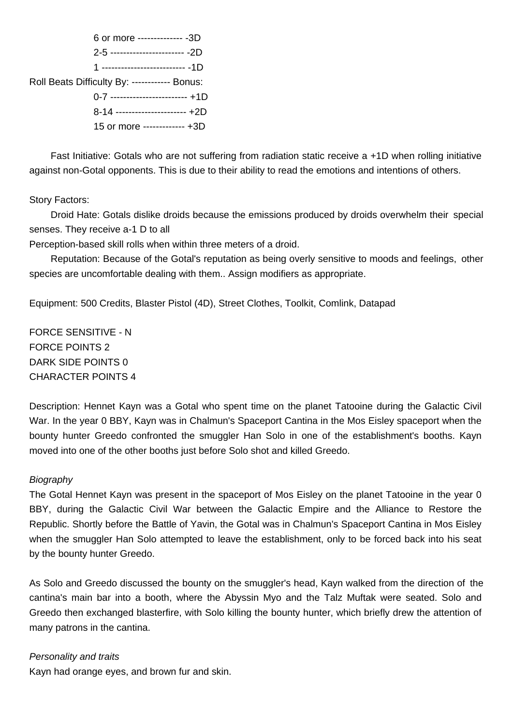

 Fast Initiative: Gotals who are not suffering from radiation static receive a +1D when rolling initiative against non-Gotal opponents. This is due to their ability to read the emotions and intentions of others.

Story Factors:

 Droid Hate: Gotals dislike droids because the emissions produced by droids overwhelm their special senses. They receive a-1 D to all

Perception-based skill rolls when within three meters of a droid.

 Reputation: Because of the Gotal's reputation as being overly sensitive to moods and feelings, other species are uncomfortable dealing with them.. Assign modifiers as appropriate.

Equipment: 500 Credits, Blaster Pistol (4D), Street Clothes, Toolkit, Comlink, Datapad

FORCE SENSITIVE - N FORCE POINTS 2 DARK SIDE POINTS 0 CHARACTER POINTS 4

Description: Hennet Kayn was a Gotal who spent time on the planet Tatooine during the Galactic Civil War. In the year 0 BBY, Kayn was in Chalmun's Spaceport Cantina in the Mos Eisley spaceport when the bounty hunter Greedo confronted the smuggler Han Solo in one of the establishment's booths. Kayn moved into one of the other booths just before Solo shot and killed Greedo.

## **Biography**

The Gotal Hennet Kayn was present in the spaceport of Mos Eisley on the planet Tatooine in the year 0 BBY, during the Galactic Civil War between the Galactic Empire and the Alliance to Restore the Republic. Shortly before the Battle of Yavin, the Gotal was in Chalmun's Spaceport Cantina in Mos Eisley when the smuggler Han Solo attempted to leave the establishment, only to be forced back into his seat by the bounty hunter Greedo.

As Solo and Greedo discussed the bounty on the smuggler's head, Kayn walked from the direction of the cantina's main bar into a booth, where the Abyssin Myo and the Talz Muftak were seated. Solo and Greedo then exchanged blasterfire, with Solo killing the bounty hunter, which briefly drew the attention of many patrons in the cantina.

## Personality and traits

Kayn had orange eyes, and brown fur and skin.